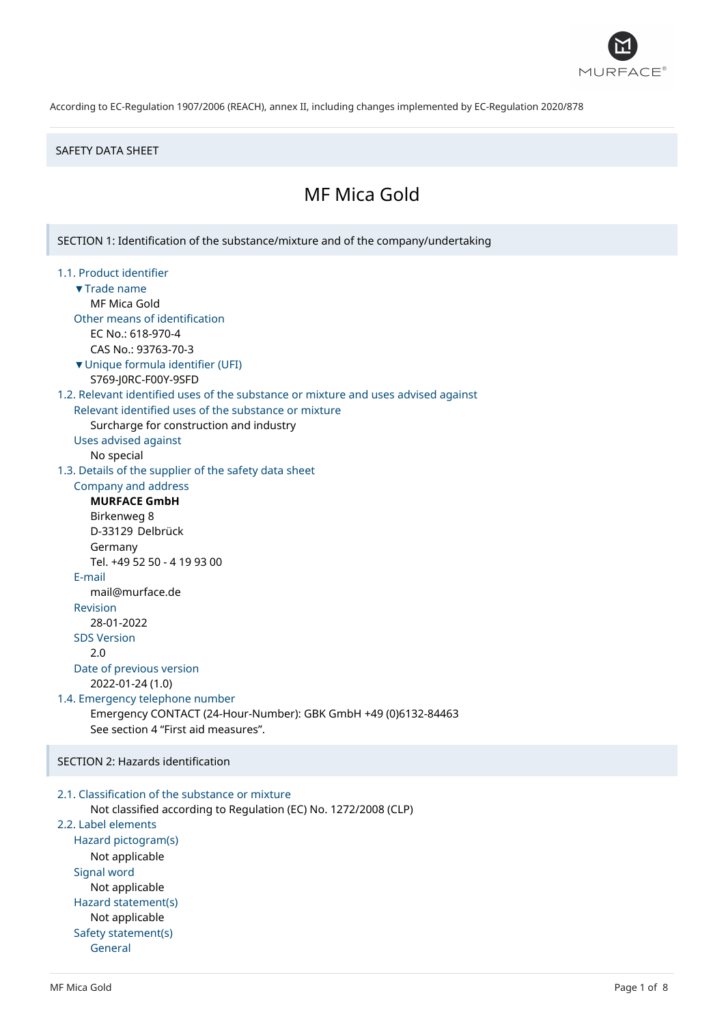

#### SAFETY DATA SHEET

# MF Mica Gold

SECTION 1: Identification of the substance/mixture and of the company/undertaking 1.1. Product identifier ▼Trade name MF Mica Gold Other means of identification EC No.: 618-970-4 CAS No.: 93763-70-3 ▼Unique formula identifier (UFI) S769-J0RC-F00Y-9SFD 1.2. Relevant identified uses of the substance or mixture and uses advised against Relevant identified uses of the substance or mixture Surcharge for construction and industry Uses advised against No special 1.3. Details of the supplier of the safety data sheet Company and address **MURFACE GmbH** Birkenweg 8 D-33129 Delbrück Germany Tel. +49 52 50 - 4 19 93 00 E-mail mail@murface.de Revision 28-01-2022 SDS Version 2.0 Date of previous version 2022-01-24 (1.0) 1.4. Emergency telephone number Emergency CONTACT (24-Hour-Number): GBK GmbH +49 (0)6132-84463 See section 4 "First aid measures". SECTION 2: Hazards identification 2.1. Classification of the substance or mixture

```
Not classified according to Regulation (EC) No. 1272/2008 (CLP)
2.2. Label elements
  Hazard pictogram(s)
      Not applicable
  Signal word
      Not applicable
  Hazard statement(s)
      Not applicable
  Safety statement(s)
      General
```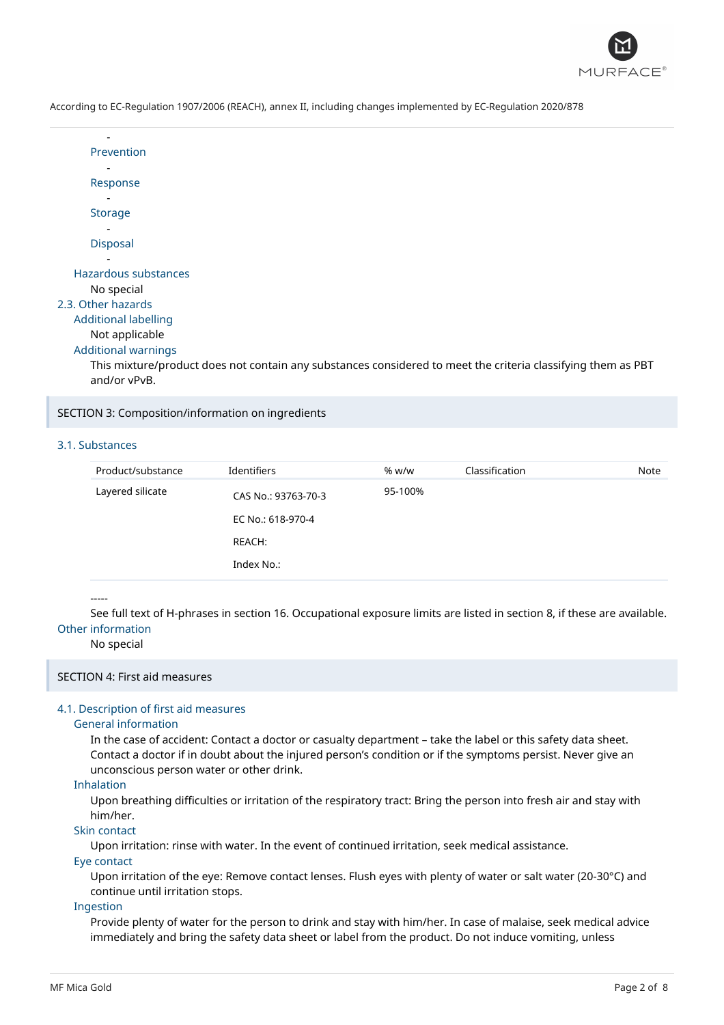

| Prevention           |
|----------------------|
|                      |
| Response             |
|                      |
| Storage              |
|                      |
| <b>Disposal</b>      |
|                      |
| Hazardous substances |
| No special           |

## 2.3. Other hazards

# Additional labelling

## Not applicable

#### Additional warnings

This mixture/product does not contain any substances considered to meet the criteria classifying them as PBT and/or vPvB.

#### SECTION 3: Composition/information on ingredients

## 3.1. Substances

| Product/substance | Identifiers         | % w/w   | Classification | Note |
|-------------------|---------------------|---------|----------------|------|
| Layered silicate  | CAS No.: 93763-70-3 | 95-100% |                |      |
|                   | EC No.: 618-970-4   |         |                |      |
|                   | REACH:              |         |                |      |
|                   | Index No.:          |         |                |      |

#### -----

See full text of H-phrases in section 16. Occupational exposure limits are listed in section 8, if these are available. Other information

#### No special

#### SECTION 4: First aid measures

#### 4.1. Description of first aid measures

#### General information

In the case of accident: Contact a doctor or casualty department – take the label or this safety data sheet. Contact a doctor if in doubt about the injured person's condition or if the symptoms persist. Never give an unconscious person water or other drink.

#### Inhalation

Upon breathing difficulties or irritation of the respiratory tract: Bring the person into fresh air and stay with him/her.

## Skin contact

Upon irritation: rinse with water. In the event of continued irritation, seek medical assistance.

#### Eye contact

Upon irritation of the eye: Remove contact lenses. Flush eyes with plenty of water or salt water (20-30°C) and continue until irritation stops.

## Ingestion

Provide plenty of water for the person to drink and stay with him/her. In case of malaise, seek medical advice immediately and bring the safety data sheet or label from the product. Do not induce vomiting, unless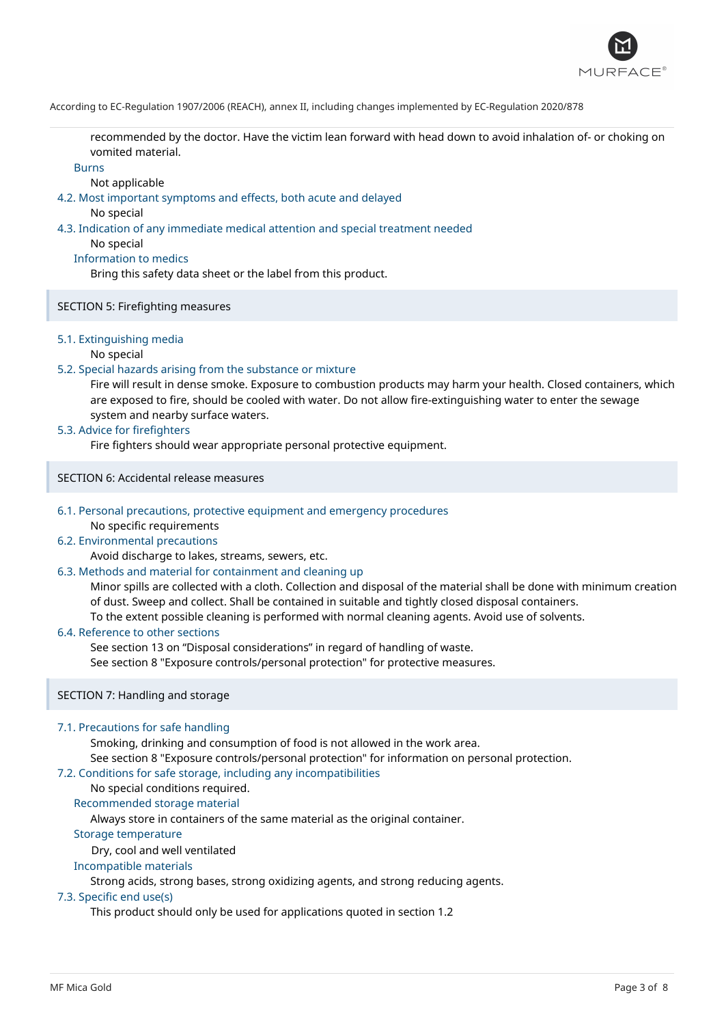

recommended by the doctor. Have the victim lean forward with head down to avoid inhalation of- or choking on vomited material.

#### Burns

Not applicable

4.2. Most important symptoms and effects, both acute and delayed

No special

4.3. Indication of any immediate medical attention and special treatment needed

No special

## Information to medics

Bring this safety data sheet or the label from this product.

## SECTION 5: Firefighting measures

## 5.1. Extinguishing media

#### No special

## 5.2. Special hazards arising from the substance or mixture

Fire will result in dense smoke. Exposure to combustion products may harm your health. Closed containers, which are exposed to fire, should be cooled with water. Do not allow fire-extinguishing water to enter the sewage system and nearby surface waters.

## 5.3. Advice for firefighters

Fire fighters should wear appropriate personal protective equipment.

SECTION 6: Accidental release measures

#### 6.1. Personal precautions, protective equipment and emergency procedures No specific requirements

## 6.2. Environmental precautions

Avoid discharge to lakes, streams, sewers, etc.

## 6.3. Methods and material for containment and cleaning up

Minor spills are collected with a cloth. Collection and disposal of the material shall be done with minimum creation of dust. Sweep and collect. Shall be contained in suitable and tightly closed disposal containers. To the extent possible cleaning is performed with normal cleaning agents. Avoid use of solvents.

## 6.4. Reference to other sections

See section 13 on "Disposal considerations" in regard of handling of waste. See section 8 "Exposure controls/personal protection" for protective measures.

## SECTION 7: Handling and storage

## 7.1. Precautions for safe handling

Smoking, drinking and consumption of food is not allowed in the work area. See section 8 "Exposure controls/personal protection" for information on personal protection.

## 7.2. Conditions for safe storage, including any incompatibilities

# No special conditions required.

Recommended storage material

Always store in containers of the same material as the original container.

#### Storage temperature

Dry, cool and well ventilated

## Incompatible materials

Strong acids, strong bases, strong oxidizing agents, and strong reducing agents.

#### 7.3. Specific end use(s)

This product should only be used for applications quoted in section 1.2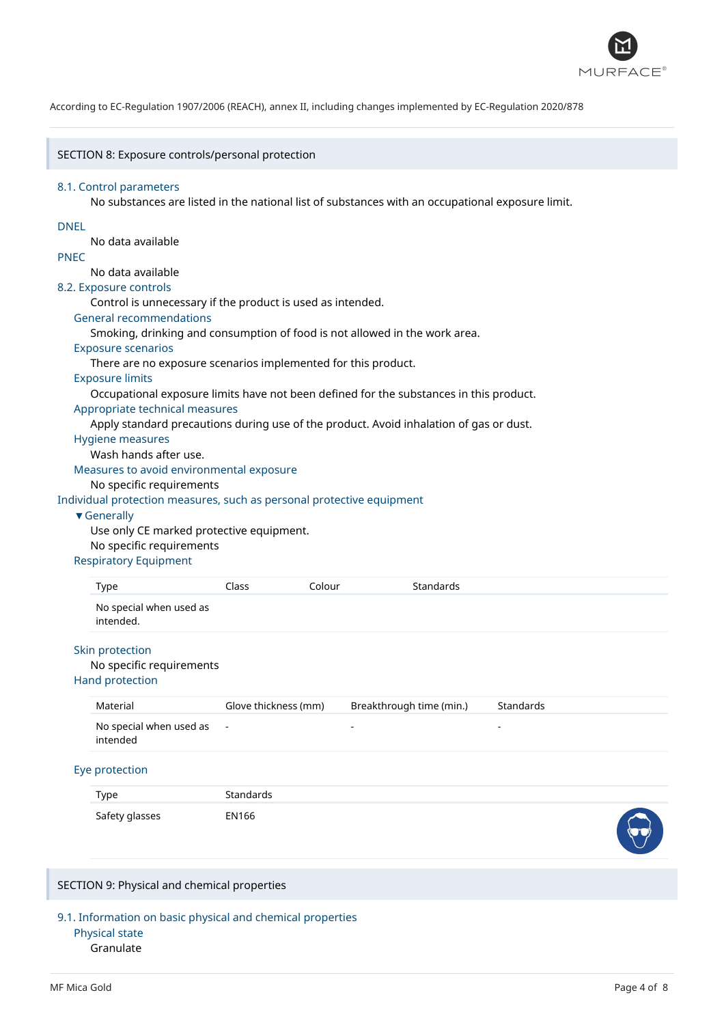

#### SECTION 8: Exposure controls/personal protection

#### 8.1. Control parameters

No substances are listed in the national list of substances with an occupational exposure limit.

## DNEL

No data available

## PNEC

# No data available

8.2. Exposure controls

Control is unnecessary if the product is used as intended.

#### General recommendations

Smoking, drinking and consumption of food is not allowed in the work area.

#### Exposure scenarios

There are no exposure scenarios implemented for this product.

# Exposure limits

Occupational exposure limits have not been defined for the substances in this product.

#### Appropriate technical measures

Apply standard precautions during use of the product. Avoid inhalation of gas or dust.

## Hygiene measures

Wash hands after use.

Measures to avoid environmental exposure

## No specific requirements

Individual protection measures, such as personal protective equipment

#### ▼Generally

Use only CE marked protective equipment. No specific requirements

#### Respiratory Equipment

| No special when used as<br>intended. | Type | Class | Colour | Standards |  |
|--------------------------------------|------|-------|--------|-----------|--|
|                                      |      |       |        |           |  |

## Skin protection

#### No specific requirements

Hand protection

| Material                                | Glove thickness (mm) | Breakthrough time (min.) | Standards |
|-----------------------------------------|----------------------|--------------------------|-----------|
| No special when used as $-$<br>intended |                      | $\sim$                   |           |

#### Eye protection

| Type           | Standards |        |
|----------------|-----------|--------|
| Safety glasses | EN166     | $\sim$ |

## SECTION 9: Physical and chemical properties

9.1. Information on basic physical and chemical properties Physical state

## Granulate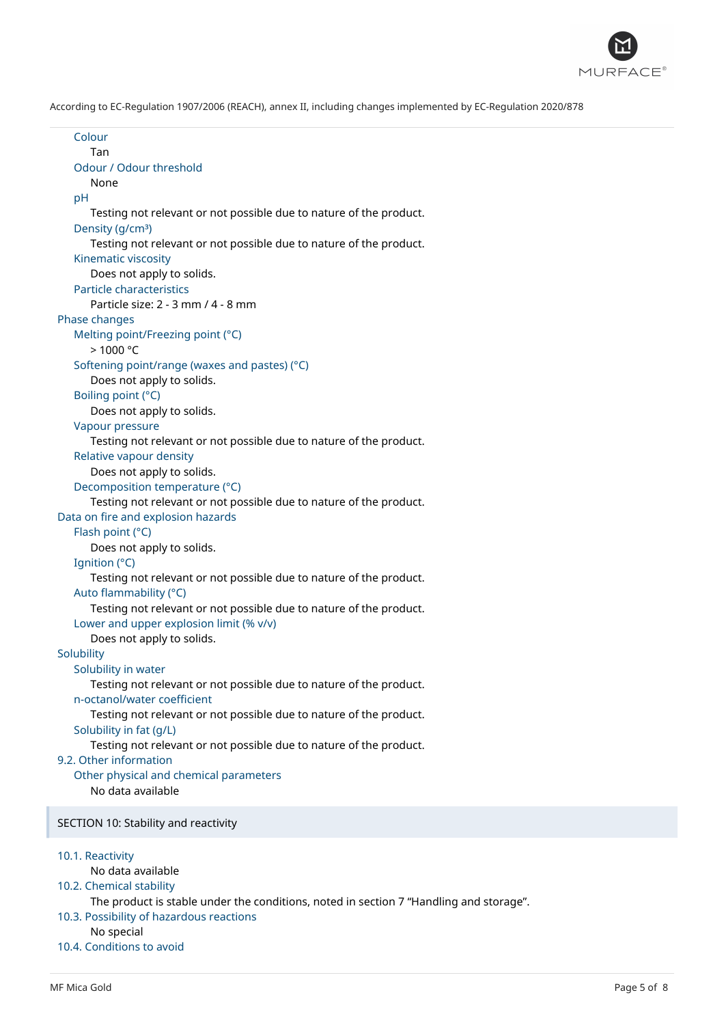

Colour Tan Odour / Odour threshold None pH Testing not relevant or not possible due to nature of the product. Density (g/cm<sup>3</sup>) Testing not relevant or not possible due to nature of the product. Kinematic viscosity Does not apply to solids. Particle characteristics Particle size: 2 - 3 mm / 4 - 8 mm Phase changes Melting point/Freezing point (°C) > 1000 °C Softening point/range (waxes and pastes) (°C) Does not apply to solids. Boiling point (°C) Does not apply to solids. Vapour pressure Testing not relevant or not possible due to nature of the product. Relative vapour density Does not apply to solids. Decomposition temperature (°C) Testing not relevant or not possible due to nature of the product. Data on fire and explosion hazards Flash point (°C) Does not apply to solids. Ignition (°C) Testing not relevant or not possible due to nature of the product. Auto flammability (°C) Testing not relevant or not possible due to nature of the product. Lower and upper explosion limit (% v/v) Does not apply to solids. **Solubility** Solubility in water Testing not relevant or not possible due to nature of the product. n-octanol/water coefficient Testing not relevant or not possible due to nature of the product. Solubility in fat (g/L) Testing not relevant or not possible due to nature of the product. 9.2. Other information Other physical and chemical parameters No data available SECTION 10: Stability and reactivity 10.1. Reactivity No data available 10.2. Chemical stability The product is stable under the conditions, noted in section 7 "Handling and storage". 10.3. Possibility of hazardous reactions No special 10.4. Conditions to avoid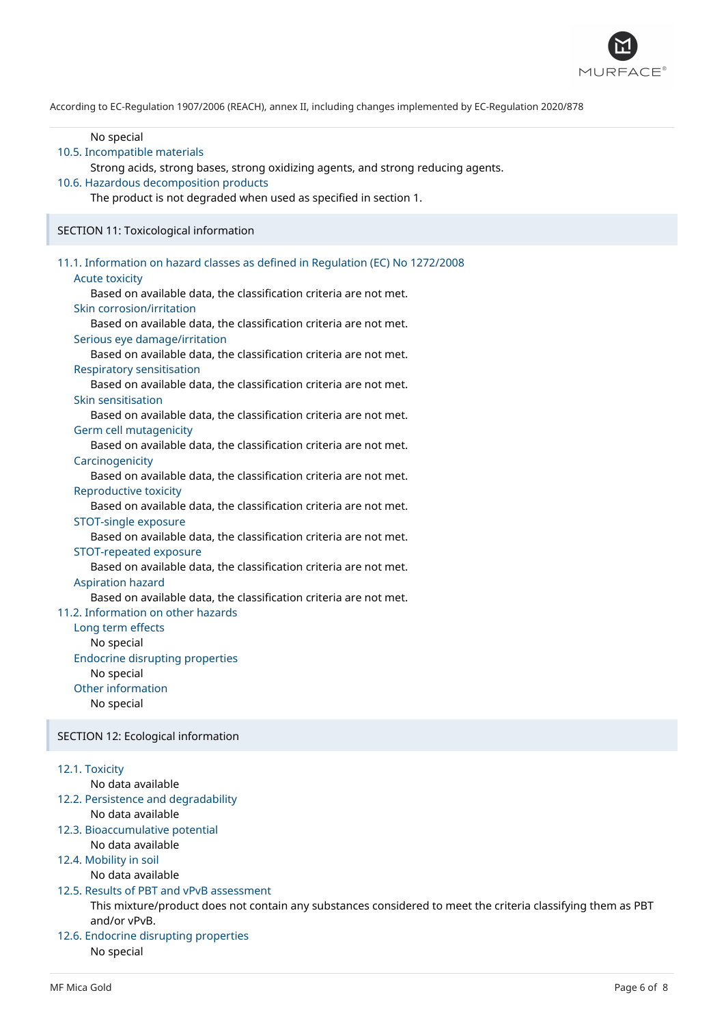

| No special<br>10.5. Incompatible materials<br>Strong acids, strong bases, strong oxidizing agents, and strong reducing agents.<br>10.6. Hazardous decomposition products<br>The product is not degraded when used as specified in section 1.                                                                                                                                                                                                                                                                                                                                                                                                                                                                                                                                                                                                                                                                                                                                                                                                                                                                                                                                                                                                                                                                                                   |  |
|------------------------------------------------------------------------------------------------------------------------------------------------------------------------------------------------------------------------------------------------------------------------------------------------------------------------------------------------------------------------------------------------------------------------------------------------------------------------------------------------------------------------------------------------------------------------------------------------------------------------------------------------------------------------------------------------------------------------------------------------------------------------------------------------------------------------------------------------------------------------------------------------------------------------------------------------------------------------------------------------------------------------------------------------------------------------------------------------------------------------------------------------------------------------------------------------------------------------------------------------------------------------------------------------------------------------------------------------|--|
| SECTION 11: Toxicological information                                                                                                                                                                                                                                                                                                                                                                                                                                                                                                                                                                                                                                                                                                                                                                                                                                                                                                                                                                                                                                                                                                                                                                                                                                                                                                          |  |
| 11.1. Information on hazard classes as defined in Regulation (EC) No 1272/2008<br><b>Acute toxicity</b><br>Based on available data, the classification criteria are not met.<br>Skin corrosion/irritation<br>Based on available data, the classification criteria are not met.<br>Serious eye damage/irritation<br>Based on available data, the classification criteria are not met.<br><b>Respiratory sensitisation</b><br>Based on available data, the classification criteria are not met.<br>Skin sensitisation<br>Based on available data, the classification criteria are not met.<br>Germ cell mutagenicity<br>Based on available data, the classification criteria are not met.<br>Carcinogenicity<br>Based on available data, the classification criteria are not met.<br>Reproductive toxicity<br>Based on available data, the classification criteria are not met.<br>STOT-single exposure<br>Based on available data, the classification criteria are not met.<br>STOT-repeated exposure<br>Based on available data, the classification criteria are not met.<br><b>Aspiration hazard</b><br>Based on available data, the classification criteria are not met.<br>11.2. Information on other hazards<br>Long term effects<br>No special<br><b>Endocrine disrupting properties</b><br>No special<br>Other information<br>No special |  |
| SECTION 12: Ecological information                                                                                                                                                                                                                                                                                                                                                                                                                                                                                                                                                                                                                                                                                                                                                                                                                                                                                                                                                                                                                                                                                                                                                                                                                                                                                                             |  |
| 12.1. Toxicity<br>No data available<br>12.2. Persistence and degradability<br>No data available<br>12.3. Bioaccumulative potential<br>No data available<br>12.4. Mobility in soil<br>No data available<br>12.5. Results of PBT and vPvB assessment<br>This mixture/product does not contain any substances considered to meet the criteria classifying them as PBT<br>and/or vPvB.<br>12.6. Endocrine disrupting properties<br>No special                                                                                                                                                                                                                                                                                                                                                                                                                                                                                                                                                                                                                                                                                                                                                                                                                                                                                                      |  |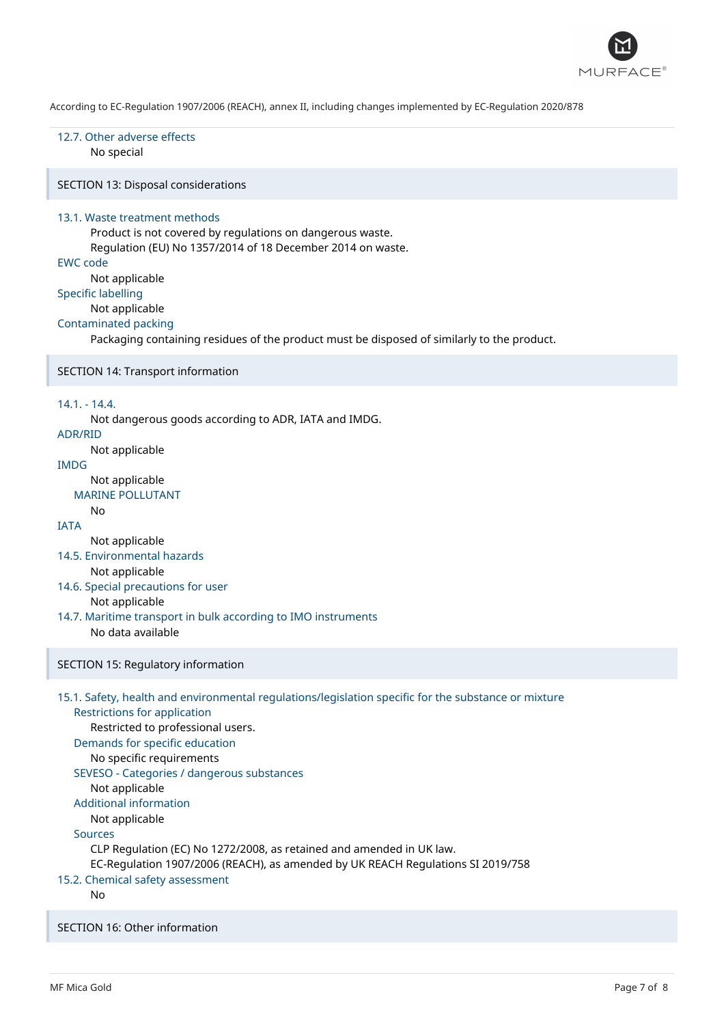

# 12.7. Other adverse effects

No special

SECTION 13: Disposal considerations

#### 13.1. Waste treatment methods

Product is not covered by regulations on dangerous waste. Regulation (EU) No 1357/2014 of 18 December 2014 on waste.

## EWC code

Not applicable

Specific labelling

# Not applicable

#### Contaminated packing

Packaging containing residues of the product must be disposed of similarly to the product.

#### SECTION 14: Transport information

#### 14.1. - 14.4.

Not dangerous goods according to ADR, IATA and IMDG.

## ADR/RID

Not applicable

# IMDG

Not applicable

## MARINE POLLUTANT

## **IATA**

No

Not applicable

- 14.5. Environmental hazards Not applicable
- 14.6. Special precautions for user Not applicable
- 14.7. Maritime transport in bulk according to IMO instruments No data available

## SECTION 15: Regulatory information

# 15.1. Safety, health and environmental regulations/legislation specific for the substance or mixture Restrictions for application Restricted to professional users. Demands for specific education No specific requirements SEVESO - Categories / dangerous substances Not applicable Additional information Not applicable Sources

CLP Regulation (EC) No 1272/2008, as retained and amended in UK law.

EC-Regulation 1907/2006 (REACH), as amended by UK REACH Regulations SI 2019/758

## 15.2. Chemical safety assessment

No

SECTION 16: Other information